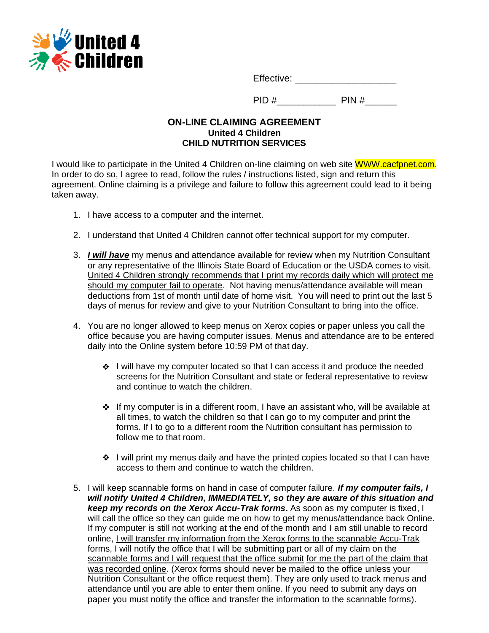

Effective: \_\_\_\_\_\_\_\_\_\_\_\_\_\_\_\_\_\_\_

PID #\_\_\_\_\_\_\_\_\_\_\_ PIN #\_\_\_\_\_\_

## **ON-LINE CLAIMING AGREEMENT United 4 Children CHILD NUTRITION SERVICES**

I would like to participate in the United 4 Children on-line claiming on web site WWW.cacfpnet.com. In order to do so, I agree to read, follow the rules / instructions listed, sign and return this agreement. Online claiming is a privilege and failure to follow this agreement could lead to it being taken away.

- 1. I have access to a computer and the internet.
- 2. I understand that United 4 Children cannot offer technical support for my computer.
- 3. *I will have* my menus and attendance available for review when my Nutrition Consultant or any representative of the Illinois State Board of Education or the USDA comes to visit. United 4 Children strongly recommends that I print my records daily which will protect me should my computer fail to operate. Not having menus/attendance available will mean deductions from 1st of month until date of home visit. You will need to print out the last 5 days of menus for review and give to your Nutrition Consultant to bring into the office.
- 4. You are no longer allowed to keep menus on Xerox copies or paper unless you call the office because you are having computer issues. Menus and attendance are to be entered daily into the Online system before 10:59 PM of that day.
	- $\div$  I will have my computer located so that I can access it and produce the needed screens for the Nutrition Consultant and state or federal representative to review and continue to watch the children.
	- $\triangle$  If my computer is in a different room, I have an assistant who, will be available at all times, to watch the children so that I can go to my computer and print the forms. If I to go to a different room the Nutrition consultant has permission to follow me to that room.
	- $\div$  I will print my menus daily and have the printed copies located so that I can have access to them and continue to watch the children.
- 5. I will keep scannable forms on hand in case of computer failure. *If my computer fails, I will notify United 4 Children, IMMEDIATELY, so they are aware of this situation and keep my records on the Xerox Accu-Trak forms***.** As soon as my computer is fixed, I will call the office so they can guide me on how to get my menus/attendance back Online. If my computer is still not working at the end of the month and I am still unable to record online, I will transfer my information from the Xerox forms to the scannable Accu-Trak forms, I will notify the office that I will be submitting part or all of my claim on the scannable forms and I will request that the office submit for me the part of the claim that was recorded online. (Xerox forms should never be mailed to the office unless your Nutrition Consultant or the office request them). They are only used to track menus and attendance until you are able to enter them online. If you need to submit any days on paper you must notify the office and transfer the information to the scannable forms).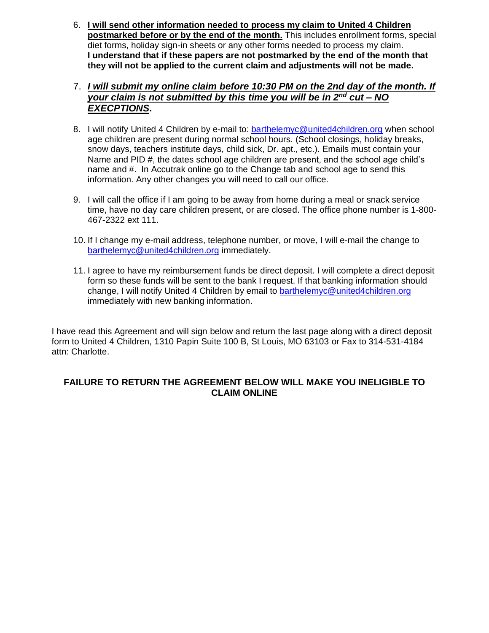- 6. **I will send other information needed to process my claim to United 4 Children postmarked before or by the end of the month.** This includes enrollment forms, special diet forms, holiday sign-in sheets or any other forms needed to process my claim. **I understand that if these papers are not postmarked by the end of the month that they will not be applied to the current claim and adjustments will not be made.**
- 7. *I will submit my online claim before 10:30 PM on the 2nd day of the month. If your claim is not submitted by this time you will be in 2nd cut – NO EXECPTIONS***.**
- 8. I will notify United 4 Children by e-mail to: [barthelemyc@united4children.org](mailto:barthelemyc@united4children.org) when school age children are present during normal school hours. (School closings, holiday breaks, snow days, teachers institute days, child sick, Dr. apt., etc.). Emails must contain your Name and PID #, the dates school age children are present, and the school age child's name and #. In Accutrak online go to the Change tab and school age to send this information. Any other changes you will need to call our office.
- 9. I will call the office if I am going to be away from home during a meal or snack service time, have no day care children present, or are closed. The office phone number is 1-800- 467-2322 ext 111.
- 10. If I change my e-mail address, telephone number, or move, I will e-mail the change to [barthelemyc@united4children.org](mailto:barthelemyc@united4children.org) immediately.
- 11. I agree to have my reimbursement funds be direct deposit. I will complete a direct deposit form so these funds will be sent to the bank I request. If that banking information should change, I will notify United 4 Children by email to [barthelemyc@united4children.org](mailto:barthelemyc@united4children.org) immediately with new banking information.

I have read this Agreement and will sign below and return the last page along with a direct deposit form to United 4 Children, 1310 Papin Suite 100 B, St Louis, MO 63103 or Fax to 314-531-4184 attn: Charlotte.

## **FAILURE TO RETURN THE AGREEMENT BELOW WILL MAKE YOU INELIGIBLE TO CLAIM ONLINE**